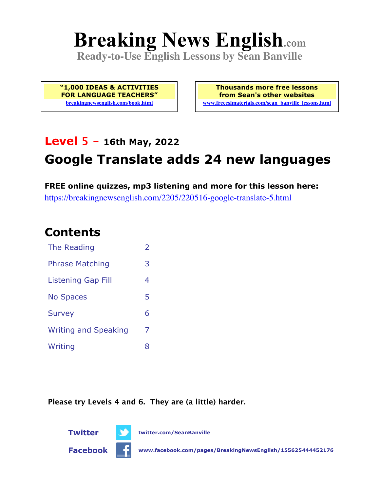# **Breaking News English.com**

**Ready-to-Use English Lessons by Sean Banville**

**"1,000 IDEAS & ACTIVITIES FOR LANGUAGE TEACHERS" breakingnewsenglish.com/book.html**

**Thousands more free lessons from Sean's other websites www.freeeslmaterials.com/sean\_banville\_lessons.html**

# **Level 5 - 16th May, 2022**

# **Google Translate adds 24 new languages**

**FREE online quizzes, mp3 listening and more for this lesson here:** https://breakingnewsenglish.com/2205/220516-google-translate-5.html

### **Contents**

| The Reading                 | $\overline{2}$ |
|-----------------------------|----------------|
| <b>Phrase Matching</b>      | 3              |
| <b>Listening Gap Fill</b>   | 4              |
| <b>No Spaces</b>            | 5              |
| <b>Survey</b>               | 6              |
| <b>Writing and Speaking</b> | 7              |
| Writing                     | 8              |

**Please try Levels 4 and 6. They are (a little) harder.**





**Twitter twitter.com/SeanBanville**

**Facebook www.facebook.com/pages/BreakingNewsEnglish/155625444452176**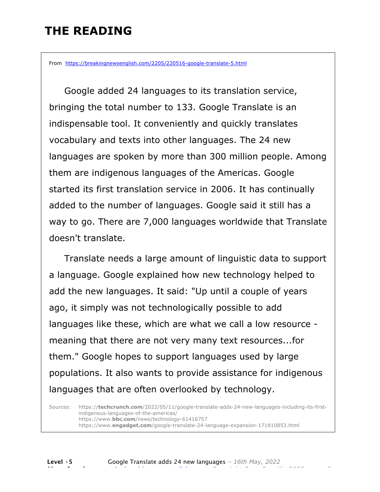# **THE READING**

From https://breakingnewsenglish.com/2205/220516-google-translate-5.html

 Google added 24 languages to its translation service, bringing the total number to 133. Google Translate is an indispensable tool. It conveniently and quickly translates vocabulary and texts into other languages. The 24 new languages are spoken by more than 300 million people. Among them are indigenous languages of the Americas. Google started its first translation service in 2006. It has continually added to the number of languages. Google said it still has a way to go. There are 7,000 languages worldwide that Translate doesn't translate.

 Translate needs a large amount of linguistic data to support a language. Google explained how new technology helped to add the new languages. It said: "Up until a couple of years ago, it simply was not technologically possible to add languages like these, which are what we call a low resource meaning that there are not very many text resources...for them." Google hopes to support languages used by large populations. It also wants to provide assistance for indigenous languages that are often overlooked by technology.

Sources: https://**techcrunch.com**/2022/05/11/google-translate-adds-24-new-languages-including-its-firstindigenous-languages-of-the-americas/ https://www.**bbc.com**/news/technology-61416757 https://www.**engadget.com**/google-translate-24-language-expansion-171810853.html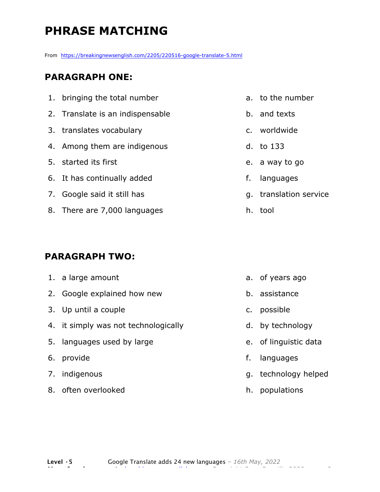# **PHRASE MATCHING**

From https://breakingnewsenglish.com/2205/220516-google-translate-5.html

#### **PARAGRAPH ONE:**

| 1. bringing the total number     |
|----------------------------------|
| 2. Translate is an indispensable |
| 3. translates vocabulary         |
| 4. Among them are indigenous     |
| 5. started its first             |
| 6. It has continually added      |
| 7. Google said it still has      |

- 
- 8. There are 7,000 languages

#### **PARAGRAPH TWO:**

| 1. a large amount                    |    | $a.$ of |
|--------------------------------------|----|---------|
| 2. Google explained how new          |    | b. ass  |
| 3. Up until a couple                 |    | c. pos  |
| 4. it simply was not technologically |    | d. by   |
| 5. languages used by large           |    | e. of   |
| 6. provide                           | f. | lan     |
| 7. indigenous                        |    | g. tec  |
| 8. often overlooked                  |    | h. poi  |

- a. to the number
- b. and texts
- c. worldwide
- d. to 133
- e. a way to go
- f. languages
- g. translation service
- h. tool

- years ago
- sistance
- ssible
- technology
- linguistic data
- iguages
- chnology helped
- h. populations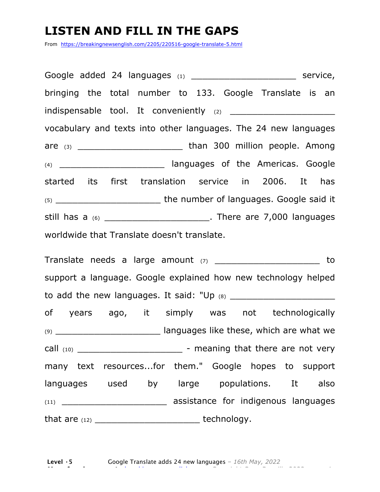### **LISTEN AND FILL IN THE GAPS**

From https://breakingnewsenglish.com/2205/220516-google-translate-5.html

| bringing the total number to 133. Google Translate is an                |  |  |  |  |  |  |
|-------------------------------------------------------------------------|--|--|--|--|--|--|
|                                                                         |  |  |  |  |  |  |
| vocabulary and texts into other languages. The 24 new languages         |  |  |  |  |  |  |
|                                                                         |  |  |  |  |  |  |
| (4) ______________________________ languages of the Americas. Google    |  |  |  |  |  |  |
| started its first translation service in 2006. It has                   |  |  |  |  |  |  |
|                                                                         |  |  |  |  |  |  |
| still has a $(6)$ __________________________. There are 7,000 languages |  |  |  |  |  |  |
| worldwide that Translate doesn't translate.                             |  |  |  |  |  |  |

Translate needs a large amount (7) \_\_\_\_\_\_\_\_\_\_\_\_\_\_\_\_\_\_\_\_\_\_\_\_\_ to support a language. Google explained how new technology helped to add the new languages. It said: "Up (8) \_\_\_\_\_\_\_\_\_\_\_\_\_\_\_\_\_\_\_ of years ago, it simply was not technologically (9) \_\_\_\_\_\_\_\_\_\_\_\_\_\_\_\_\_\_\_ languages like these, which are what we call  $(10)$   $\qquad \qquad$  - meaning that there are not very many text resources...for them." Google hopes to support languages used by large populations. It also (11) \_\_\_\_\_\_\_\_\_\_\_\_\_\_\_\_\_\_\_ assistance for indigenous languages that are (12) \_\_\_\_\_\_\_\_\_\_\_\_\_\_\_\_\_\_\_ technology.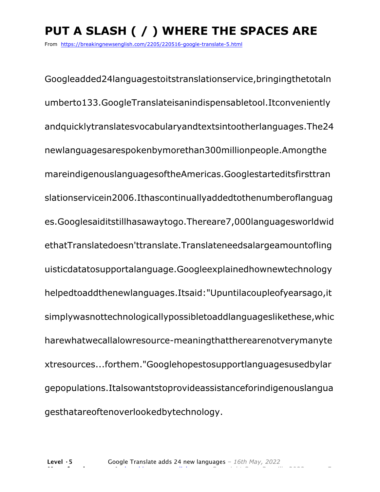# **PUT A SLASH ( / ) WHERE THE SPACES ARE**

From https://breakingnewsenglish.com/2205/220516-google-translate-5.html

Googleadded24languagestoitstranslationservice,bringingthetotaln umberto133.GoogleTranslateisanindispensabletool.Itconveniently andquicklytranslatesvocabularyandtextsintootherlanguages.The24 newlanguagesarespokenbymorethan300millionpeople.Amongthe mareindigenouslanguagesoftheAmericas.Googlestarteditsfirsttran slationservicein2006.Ithascontinuallyaddedtothenumberoflanguag es.Googlesaiditstillhasawaytogo.Thereare7,000languagesworldwid ethatTranslatedoesn'ttranslate.Translateneedsalargeamountofling uisticdatatosupportalanguage.Googleexplainedhownewtechnology helpedtoaddthenewlanguages.Itsaid:"Upuntilacoupleofyearsago,it simplywasnottechnologicallypossibletoaddlanguageslikethese,whic harewhatwecallalowresource-meaningthattherearenotverymanyte xtresources...forthem."Googlehopestosupportlanguagesusedbylar gepopulations.Italsowantstoprovideassistanceforindigenouslangua gesthatareoftenoverlookedbytechnology.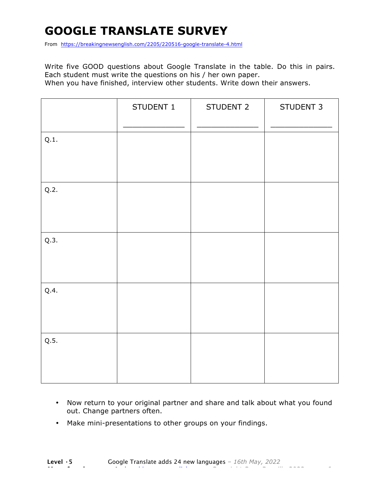# **GOOGLE TRANSLATE SURVEY**

From https://breakingnewsenglish.com/2205/220516-google-translate-4.html

Write five GOOD questions about Google Translate in the table. Do this in pairs. Each student must write the questions on his / her own paper. When you have finished, interview other students. Write down their answers.

|      | STUDENT 1 | STUDENT 2 | STUDENT 3 |
|------|-----------|-----------|-----------|
| Q.1. |           |           |           |
| Q.2. |           |           |           |
| Q.3. |           |           |           |
| Q.4. |           |           |           |
| Q.5. |           |           |           |

- Now return to your original partner and share and talk about what you found out. Change partners often.
- Make mini-presentations to other groups on your findings.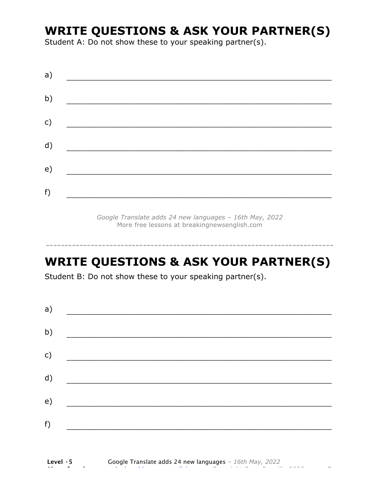### **WRITE QUESTIONS & ASK YOUR PARTNER(S)**

Student A: Do not show these to your speaking partner(s).

|  | <u>and the contract of the contract of the contract of the contract of the contract of the contract of the contract of the contract of the contract of the contract of the contract of the contract of the contract of the contr</u> |  |
|--|--------------------------------------------------------------------------------------------------------------------------------------------------------------------------------------------------------------------------------------|--|

*Google Translate adds 24 new languages – 16th May, 2022* More free lessons at breakingnewsenglish.com

### **WRITE QUESTIONS & ASK YOUR PARTNER(S)**

-----------------------------------------------------------------------------

Student B: Do not show these to your speaking partner(s).

| a)            |                                            |  |  |
|---------------|--------------------------------------------|--|--|
| b)            |                                            |  |  |
| $\mathsf{c})$ | <u> 1980 - Jan Barbara Barat, martin a</u> |  |  |
| d)            |                                            |  |  |
| e)            |                                            |  |  |
| f)            |                                            |  |  |
|               |                                            |  |  |